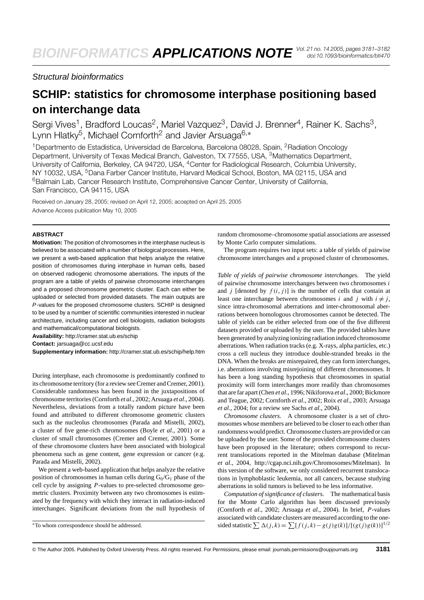Structural bioinformatics

## **SCHIP: statistics for chromosome interphase positioning based on interchange data**

Sergi Vives<sup>1</sup>, Bradford Loucas<sup>2</sup>, Mariel Vazquez<sup>3</sup>, David J. Brenner<sup>4</sup>, Rainer K. Sachs<sup>3</sup>, Lynn Hlatky<sup>5</sup>, Michael Cornforth<sup>2</sup> and Javier Arsuaga<sup>6,\*</sup>

<sup>1</sup> Departmento de Estadistica, Universidad de Barcelona, Barcelona 08028, Spain, <sup>2</sup>Radiation Oncology Department, University of Texas Medical Branch, Galveston, TX 77555, USA, <sup>3</sup>Mathematics Department, University of California, Berkeley, CA 94720, USA, 4Center for Radiological Research, Columbia University, NY 10032, USA, <sup>5</sup>Dana Farber Cancer Institute, Harvard Medical School, Boston, MA 02115, USA and <sup>6</sup>Balmain Lab, Cancer Research Institute, Comprehensive Cancer Center, University of California, San Francisco, CA 94115, USA

Received on January 28, 2005; revised on April 12, 2005; accepted on April 25, 2005 Advance Access publication May 10, 2005

## **ABSTRACT**

**Motivation:** The position of chromosomes in the interphase nucleus is believed to be associated with a number of biological processes. Here, we present a web-based application that helps analyze the relative position of chromosomes during interphase in human cells, based on observed radiogenic chromosome aberrations. The inputs of the program are a table of yields of pairwise chromosome interchanges and a proposed chromosome geometric cluster. Each can either be uploaded or selected from provided datasets. The main outputs are P-values for the proposed chromosome clusters. SCHIP is designed to be used by a number of scientific communities interested in nuclear architecture, including cancer and cell biologists, radiation biologists and mathematical/computational biologists.

**Availability:** <http://cramer.stat.ub.es/schip>

**Contact:** jarsuaga@cc.ucsf.edu

**Supplementary information:** <http://cramer.stat.ub.es/schip/help.htm>

During interphase, each chromosome is predominantly confined to its chromosome territory (for a review see Cremer and Cremer, 2001). Considerable randomness has been found in the juxtapositions of chromosome territories (Cornforth *et al*., 2002; Arsuaga *et al*., 2004). Nevertheless, deviations from a totally random picture have been found and attributed to different chromosome geometric clusters such as the nucleolus chromosomes (Parada and Mistelli, 2002), a cluster of five gene-rich chromosomes (Boyle *et al*., 2001) or a cluster of small chromosomes (Cremer and Cremer, 2001). Some of these chromosome clusters have been associated with biological phenomena such as gene content, gene expression or cancer (e.g. Parada and Mistelli, 2002).

We present a web-based application that helps analyze the relative position of chromosomes in human cells during  $G_0/G_1$  phase of the cell cycle by assigning *P*-values to pre-selected chromosome geometric clusters. Proximity between any two chromosomes is estimated by the frequency with which they interact in radiation-induced interchanges. Significant deviations from the null hypothesis of random chromosome–chromosome spatial associations are assessed by Monte Carlo computer simulations.

The program requires two input sets: a table of yields of pairwise chromosome interchanges and a proposed cluster of chromosomes.

*Table of yields of pairwise chromosome interchanges.* The yield of pairwise chromosome interchanges between two chromosomes *i* and *j* [denoted by  $f(i, j)$ ] is the number of cells that contain at least one interchange between chromosomes *i* and *j* with  $i \neq j$ , since intra-chromosomal aberrations and inter-chromosomal aberrations between homologous chromosomes cannot be detected. The table of yields can be either selected from one of the five different datasets provided or uploaded by the user. The provided tables have been generated by analyzing ionizing radiation induced chromosome aberrations. When radiation tracks (e.g. X-rays, alpha particles, etc.) cross a cell nucleus they introduce double-stranded breaks in the DNA. When the breaks are misrepaired, they can form interchanges, i.e. aberrations involving misrejoining of different chromosomes. It has been a long standing hypothesis that chromosomes in spatial proximity will form interchanges more readily than chromosomes that are far apart (Chen *et al*., 1996; Nikiforova *et al*., 2000; Bickmore and Teague, 2002; Cornforth *et al*., 2002; Roix *et al*., 2003; Arsuaga *et al*., 2004; for a review see Sachs *et al*., 2004).

*Chromosome clusters.* A chromosome cluster is a set of chromosomes whose members are believed to be closer to each other than randomness would predict. Chromosome clusters are provided or can be uploaded by the user. Some of the provided chromosome clusters have been proposed in the literature; others correspond to recurrent translocations reported in the Mitelman database (Mitelman *et al*., 2004, [http://cgap.nci.nih.gov/Chromosomes/Mitelman\).](http://cgap.nci.nih.gov/Chromosomes/Mitelman) In this version of the software, we only considered recurrent translocations in lymphoblastic leukemia, not all cancers, because studying aberrations in solid tumors is believed to be less informative.

*Computation of significance of clusters.* The mathematical basis for the Monte Carlo algorithm has been discussed previously (Cornforth *et al*., 2002; Arsuaga *et al*., 2004). In brief, *P*-values associated with candidate clusters are measured according to the onesided statistic  $\sum \Delta(j, k) = \sum [f(j, k) - g(j)g(k)]/[(g(j)g(k))]^{1/2}$ 

<sup>∗</sup>To whom correspondence should be addressed.